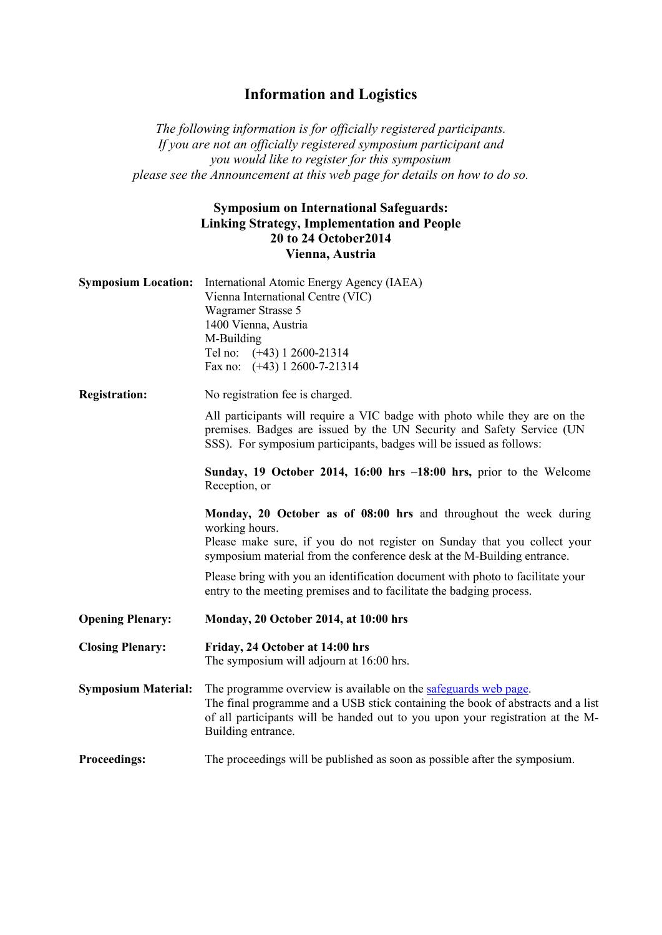## **Information and Logistics**

*The following information is for officially registered participants. If you are not an officially registered symposium participant and you would like to register for this symposium please see the Announcement at this web page for details on how to do so.* 

## **Symposium on International Safeguards: Linking Strategy, Implementation and People 20 to 24 October2014 Vienna, Austria**

| <b>Symposium Location:</b> | International Atomic Energy Agency (IAEA)<br>Vienna International Centre (VIC)<br>Wagramer Strasse 5<br>1400 Vienna, Austria<br>M-Building<br>Tel no: (+43) 1 2600-21314<br>Fax no: $(+43)$ 1 2600-7-21314                                                 |
|----------------------------|------------------------------------------------------------------------------------------------------------------------------------------------------------------------------------------------------------------------------------------------------------|
| <b>Registration:</b>       | No registration fee is charged.                                                                                                                                                                                                                            |
|                            | All participants will require a VIC badge with photo while they are on the<br>premises. Badges are issued by the UN Security and Safety Service (UN<br>SSS). For symposium participants, badges will be issued as follows:                                 |
|                            | Sunday, 19 October 2014, 16:00 hrs -18:00 hrs, prior to the Welcome<br>Reception, or                                                                                                                                                                       |
|                            | Monday, 20 October as of 08:00 hrs and throughout the week during<br>working hours.<br>Please make sure, if you do not register on Sunday that you collect your<br>symposium material from the conference desk at the M-Building entrance.                 |
|                            | Please bring with you an identification document with photo to facilitate your<br>entry to the meeting premises and to facilitate the badging process.                                                                                                     |
| <b>Opening Plenary:</b>    | Monday, 20 October 2014, at 10:00 hrs                                                                                                                                                                                                                      |
| <b>Closing Plenary:</b>    | Friday, 24 October at 14:00 hrs<br>The symposium will adjourn at 16:00 hrs.                                                                                                                                                                                |
| <b>Symposium Material:</b> | The programme overview is available on the safeguards web page.<br>The final programme and a USB stick containing the book of abstracts and a list<br>of all participants will be handed out to you upon your registration at the M-<br>Building entrance. |
| <b>Proceedings:</b>        | The proceedings will be published as soon as possible after the symposium.                                                                                                                                                                                 |